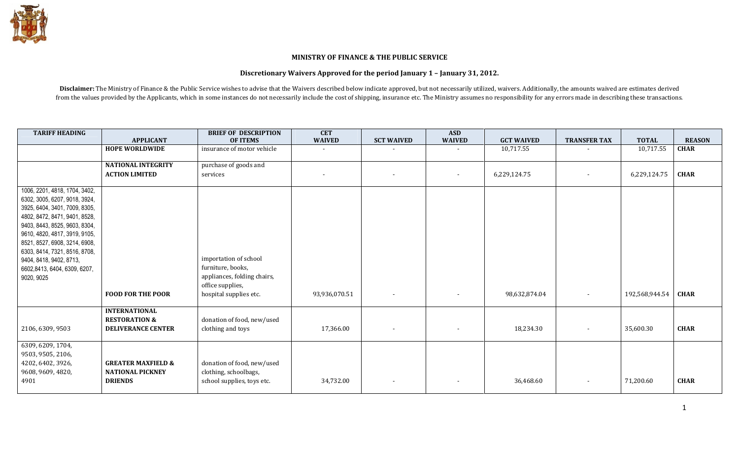

## MINISTRY OF FINANCE & THE PUBLIC SERVICE

## Discretionary Waivers Approved for the period January 1 – January 31, 2012.

Disclaimer: The Ministry of Finance & the Public Service wishes to advise that the Waivers described below indicate approved, but not necessarily utilized, waivers. Additionally, the amounts waived are estimates derived from the values provided by the Applicants, which in some instances do not necessarily include the cost of shipping, insurance etc. The Ministry assumes no responsibility for any errors made in describing these transaction

| <b>TARIFF HEADING</b>                                                                                                                                                                                                                                                                                                                         |                                                                            | <b>BRIEF OF DESCRIPTION</b>                                                                                             | <b>CET</b>    |                   | <b>ASD</b>               |                   |                          |                |               |
|-----------------------------------------------------------------------------------------------------------------------------------------------------------------------------------------------------------------------------------------------------------------------------------------------------------------------------------------------|----------------------------------------------------------------------------|-------------------------------------------------------------------------------------------------------------------------|---------------|-------------------|--------------------------|-------------------|--------------------------|----------------|---------------|
|                                                                                                                                                                                                                                                                                                                                               | <b>APPLICANT</b>                                                           | <b>OF ITEMS</b>                                                                                                         | <b>WAIVED</b> | <b>SCT WAIVED</b> | <b>WAIVED</b>            | <b>GCT WAIVED</b> | <b>TRANSFER TAX</b>      | <b>TOTAL</b>   | <b>REASON</b> |
|                                                                                                                                                                                                                                                                                                                                               | <b>HOPE WORLDWIDE</b>                                                      | insurance of motor vehicle                                                                                              |               |                   |                          | 10,717.55         |                          | 10,717.55      | <b>CHAR</b>   |
|                                                                                                                                                                                                                                                                                                                                               | <b>NATIONAL INTEGRITY</b>                                                  | purchase of goods and                                                                                                   |               |                   |                          |                   |                          |                |               |
|                                                                                                                                                                                                                                                                                                                                               | <b>ACTION LIMITED</b>                                                      | services                                                                                                                |               |                   |                          | 6,229,124.75      |                          | 6,229,124.75   | <b>CHAR</b>   |
| 1006, 2201, 4818, 1704, 3402,<br>6302, 3005, 6207, 9018, 3924,<br>3925, 6404, 3401, 7009, 8305,<br>4802, 8472, 8471, 9401, 8528,<br>9403, 8443, 8525, 9603, 8304,<br>9610, 4820, 4817, 3919, 9105,<br>8521, 8527, 6908, 3214, 6908,<br>6303, 8414, 7321, 8516, 8708,<br>9404, 8418, 9402, 8713,<br>6602,8413, 6404, 6309, 6207,<br>9020, 9025 | <b>FOOD FOR THE POOR</b>                                                   | importation of school<br>furniture, books,<br>appliances, folding chairs,<br>office supplies,<br>hospital supplies etc. | 93,936,070.51 |                   | $\overline{\phantom{a}}$ | 98,632,874.04     | $\overline{\phantom{a}}$ | 192,568,944.54 | <b>CHAR</b>   |
|                                                                                                                                                                                                                                                                                                                                               | <b>INTERNATIONAL</b>                                                       |                                                                                                                         |               |                   |                          |                   |                          |                |               |
| 2106, 6309, 9503                                                                                                                                                                                                                                                                                                                              | <b>RESTORATION &amp;</b><br><b>DELIVERANCE CENTER</b>                      | donation of food, new/used<br>clothing and toys                                                                         | 17,366.00     |                   | $\overline{\phantom{a}}$ | 18,234.30         | $\overline{\phantom{a}}$ | 35,600.30      | <b>CHAR</b>   |
| 6309, 6209, 1704,<br>9503, 9505, 2106,<br>4202, 6402, 3926,<br>9608, 9609, 4820,<br>4901                                                                                                                                                                                                                                                      | <b>GREATER MAXFIELD &amp;</b><br><b>NATIONAL PICKNEY</b><br><b>DRIENDS</b> | donation of food, new/used<br>clothing, schoolbags,<br>school supplies, toys etc.                                       | 34,732.00     |                   | $\overline{\phantom{a}}$ | 36,468.60         | $\overline{\phantom{a}}$ | 71,200.60      | <b>CHAR</b>   |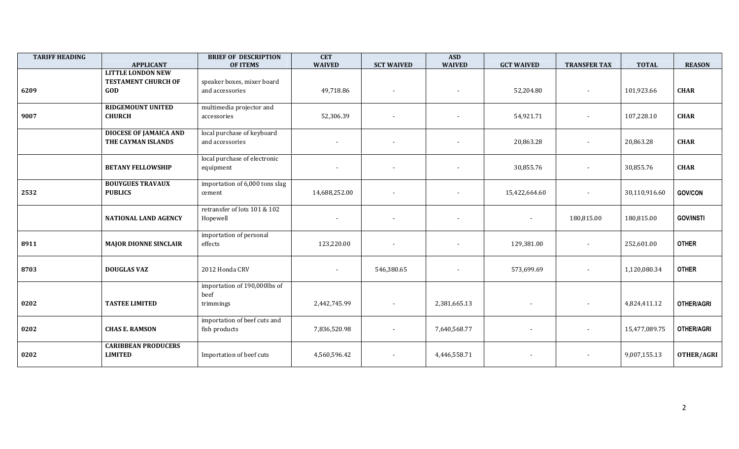| <b>TARIFF HEADING</b> | <b>APPLICANT</b>                                              | <b>BRIEF OF DESCRIPTION</b><br><b>OF ITEMS</b>    | <b>CET</b><br><b>WAIVED</b> | <b>SCT WAIVED</b>        | <b>ASD</b><br><b>WAIVED</b> | <b>GCT WAIVED</b>        | <b>TRANSFER TAX</b> | <b>TOTAL</b>  | <b>REASON</b>     |
|-----------------------|---------------------------------------------------------------|---------------------------------------------------|-----------------------------|--------------------------|-----------------------------|--------------------------|---------------------|---------------|-------------------|
| 6209                  | <b>LITTLE LONDON NEW</b><br><b>TESTAMENT CHURCH OF</b><br>GOD | speaker boxes, mixer board<br>and accessories     | 49,718.86                   |                          |                             | 52,204.80                |                     | 101,923.66    | <b>CHAR</b>       |
| 9007                  | <b>RIDGEMOUNT UNITED</b><br><b>CHURCH</b>                     | multimedia projector and<br>accessories           | 52,306.39                   |                          |                             | 54,921.71                |                     | 107,228.10    | <b>CHAR</b>       |
|                       | <b>DIOCESE OF JAMAICA AND</b><br>THE CAYMAN ISLANDS           | local purchase of keyboard<br>and accessories     | $\sim$                      | $\overline{\phantom{a}}$ | $\blacksquare$              | 20,863.28                | $\sim$              | 20,863.28     | <b>CHAR</b>       |
|                       | <b>BETANY FELLOWSHIP</b>                                      | local purchase of electronic<br>equipment         |                             |                          | $\blacksquare$              | 30,855.76                |                     | 30,855.76     | <b>CHAR</b>       |
| 2532                  | <b>BOUYGUES TRAVAUX</b><br><b>PUBLICS</b>                     | importation of 6,000 tons slag<br>cement          | 14,688,252.00               |                          | $\overline{\phantom{a}}$    | 15,422,664.60            |                     | 30,110,916.60 | <b>GOV/CON</b>    |
|                       | <b>NATIONAL LAND AGENCY</b>                                   | retransfer of lots 101 & 102<br>Hopewell          |                             |                          | $\blacksquare$              | $\overline{\phantom{a}}$ | 180,815.00          | 180,815.00    | <b>GOV/INSTI</b>  |
| 8911                  | <b>MAJOR DIONNE SINCLAIR</b>                                  | importation of personal<br>effects                | 123,220.00                  |                          |                             | 129,381.00               |                     | 252,601.00    | <b>OTHER</b>      |
| 8703                  | <b>DOUGLAS VAZ</b>                                            | 2012 Honda CRV                                    |                             | 546,380.65               | $\overline{\phantom{a}}$    | 573,699.69               | $\sim$              | 1,120,080.34  | <b>OTHER</b>      |
| 0202                  | <b>TASTEE LIMITED</b>                                         | importation of 190,000lbs of<br>beef<br>trimmings | 2,442,745.99                |                          | 2,381,665.13                | $\overline{\phantom{a}}$ |                     | 4,824,411.12  | <b>OTHER/AGRI</b> |
| 0202                  | <b>CHAS E. RAMSON</b>                                         | importation of beef cuts and<br>fish products     | 7,836,520.98                |                          | 7,640,568.77                |                          |                     | 15,477,089.75 | <b>OTHER/AGRI</b> |
| 0202                  | <b>CARIBBEAN PRODUCERS</b><br><b>LIMITED</b>                  | Importation of beef cuts                          | 4,560,596.42                |                          | 4,446,558.71                |                          |                     | 9,007,155.13  | OTHER/AGRI        |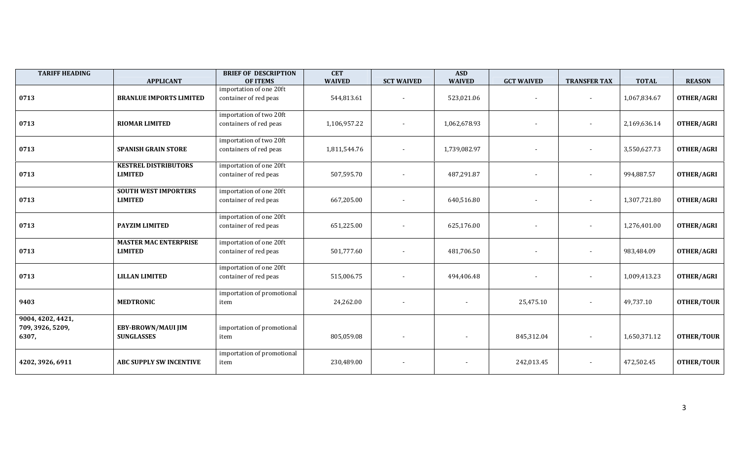| <b>TARIFF HEADING</b>                          | <b>APPLICANT</b>                               | <b>BRIEF OF DESCRIPTION</b><br><b>OF ITEMS</b>    | <b>CET</b><br><b>WAIVED</b> | <b>SCT WAIVED</b>        | <b>ASD</b><br><b>WAIVED</b> | <b>GCT WAIVED</b>        | <b>TRANSFER TAX</b>      | <b>TOTAL</b> | <b>REASON</b>     |
|------------------------------------------------|------------------------------------------------|---------------------------------------------------|-----------------------------|--------------------------|-----------------------------|--------------------------|--------------------------|--------------|-------------------|
| 0713                                           | <b>BRANLUE IMPORTS LIMITED</b>                 | importation of one 20ft<br>container of red peas  | 544,813.61                  |                          | 523,021.06                  | $\overline{\phantom{a}}$ |                          | 1,067,834.67 | <b>OTHER/AGRI</b> |
| 0713                                           | <b>RIOMAR LIMITED</b>                          | importation of two 20ft<br>containers of red peas | 1,106,957.22                |                          | 1,062,678.93                |                          |                          | 2,169,636.14 | <b>OTHER/AGRI</b> |
| 0713                                           | <b>SPANISH GRAIN STORE</b>                     | importation of two 20ft<br>containers of red peas | 1,811,544.76                | $\overline{\phantom{a}}$ | 1,739,082.97                |                          |                          | 3,550,627.73 | <b>OTHER/AGRI</b> |
| 0713                                           | <b>KESTREL DISTRIBUTORS</b><br><b>LIMITED</b>  | importation of one 20ft<br>container of red peas  | 507,595.70                  | $\blacksquare$           | 487,291.87                  |                          | $\overline{\phantom{a}}$ | 994,887.57   | <b>OTHER/AGRI</b> |
| 0713                                           | <b>SOUTH WEST IMPORTERS</b><br><b>LIMITED</b>  | importation of one 20ft<br>container of red peas  | 667,205.00                  |                          | 640,516.80                  |                          |                          | 1,307,721.80 | <b>OTHER/AGRI</b> |
| 0713                                           | PAYZIM LIMITED                                 | importation of one 20ft<br>container of red peas  | 651,225.00                  |                          | 625,176.00                  |                          |                          | 1,276,401.00 | <b>OTHER/AGRI</b> |
| 0713                                           | <b>MASTER MAC ENTERPRISE</b><br><b>LIMITED</b> | importation of one 20ft<br>container of red peas  | 501,777.60                  |                          | 481,706.50                  |                          |                          | 983,484.09   | <b>OTHER/AGRI</b> |
| 0713                                           | <b>LILLAN LIMITED</b>                          | importation of one 20ft<br>container of red peas  | 515,006.75                  |                          | 494,406.48                  |                          | $\overline{\phantom{a}}$ | 1,009,413.23 | <b>OTHER/AGRI</b> |
| 9403                                           | <b>MEDTRONIC</b>                               | importation of promotional<br>item                | 24,262.00                   |                          |                             | 25,475.10                |                          | 49,737.10    | <b>OTHER/TOUR</b> |
| 9004, 4202, 4421,<br>709, 3926, 5209,<br>6307, | EBY-BROWN/MAUI JIM<br><b>SUNGLASSES</b>        | importation of promotional<br>item                | 805,059.08                  |                          |                             | 845,312.04               |                          | 1,650,371.12 | <b>OTHER/TOUR</b> |
| 4202, 3926, 6911                               | <b>ABC SUPPLY SW INCENTIVE</b>                 | importation of promotional<br>item                | 230,489.00                  |                          |                             | 242,013.45               |                          | 472,502.45   | <b>OTHER/TOUR</b> |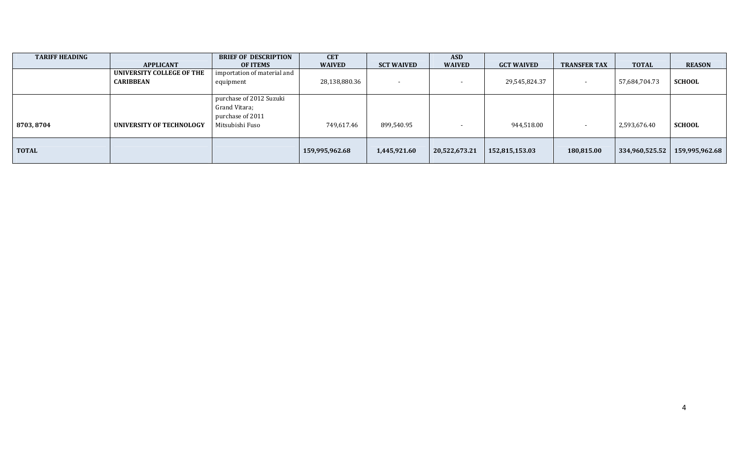| <b>TARIFF HEADING</b> | <b>APPLICANT</b>                              | <b>BRIEF OF DESCRIPTION</b><br><b>OF ITEMS</b>                                  | <b>CET</b><br><b>WAIVED</b> | <b>SCT WAIVED</b>        | <b>ASD</b><br><b>WAIVED</b> | <b>GCT WAIVED</b> | <b>TRANSFER TAX</b> | <b>TOTAL</b>   | <b>REASON</b>  |
|-----------------------|-----------------------------------------------|---------------------------------------------------------------------------------|-----------------------------|--------------------------|-----------------------------|-------------------|---------------------|----------------|----------------|
|                       | UNIVERSITY COLLEGE OF THE<br><b>CARIBBEAN</b> | importation of material and<br>equipment                                        | 28,138,880.36               | $\overline{\phantom{0}}$ |                             | 29,545,824.37     |                     | 57,684,704.73  | <b>SCHOOL</b>  |
| 8703, 8704            | UNIVERSITY OF TECHNOLOGY                      | purchase of 2012 Suzuki<br>Grand Vitara;<br>purchase of 2011<br>Mitsubishi Fuso | 749,617.46                  | 899,540.95               |                             | 944,518.00        |                     | 2,593,676.40   | <b>SCHOOL</b>  |
| <b>TOTAL</b>          |                                               |                                                                                 | 159,995,962.68              | 1,445,921.60             | 20,522,673.21               | 152,815,153.03    | 180,815.00          | 334,960,525.52 | 159,995,962.68 |